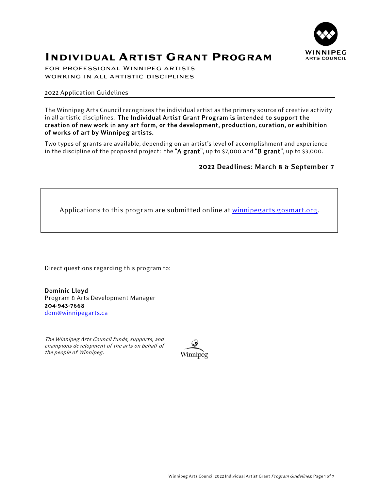

# **INDIVIDUAL ARTIST GRANT PROGRAM**

for professional Winnipeg artists working in all artistic disciplines

2022 Application Guidelines

The Winnipeg Arts Council recognizes the individual artist as the primary source of creative activity in all artistic disciplines. The Individual Artist Grant Program is intended to support the creation of new work in any art form, or the development, production, curation, or exhibition of works of art by Winnipeg artists.

Two types of grants are available, depending on an artist's level of accomplishment and experience in the discipline of the proposed project: the "A grant", up to \$7,000 and "B grant", up to \$3,000.

## 2022 Deadlines: March 8 & September 7

Applications to this program are submitted online at [winnipegarts.gosmart.org.](https://winnipegarts.gosmart.org/)

Direct questions regarding this program to:

Dominic Lloyd Program & Arts Development Manager 204-943-7668 [dom@winnipegarts.ca](mailto:dom@winnipegarts.ca)

The Winnipeg Arts Council funds, supports, and champions development of the arts on behalf of the people of Winnipeg.

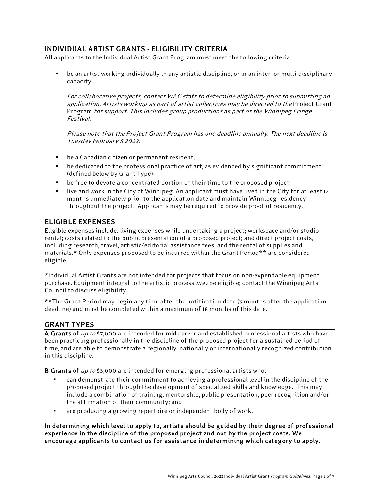## INDIVIDUAL ARTIST GRANTS - ELIGIBILITY CRITERIA

All applicants to the Individual Artist Grant Program must meet the following criteria:

be an artist working individually in any artistic discipline, or in an inter- or multi-disciplinary capacity.

For collaborative projects, contact WAC staff to determine eligibility prior to submitting an application. Artists working as part of artist collectives may be directed to the Project Grant Program for support. This includes group productions as part of the Winnipeg Fringe Festival.

Please note that the Project Grant Program has one deadline annually. The next deadline is Tuesday February 8 2022;

- be a Canadian citizen or permanent resident;
- be dedicated to the professional practice of art, as evidenced by significant commitment (defined below by Grant Type);
- be free to devote a concentrated portion of their time to the proposed project;
- live and work in the City of Winnipeg. An applicant must have lived in the City for at least 12 months immediately prior to the application date and maintain Winnipeg residency throughout the project. Applicants may be required to provide proof of residency.

## ELIGIBLE EXPENSES

Eligible expenses include: living expenses while undertaking a project; workspace and/or studio rental; costs related to the public presentation of a proposed project; and direct project costs, including research, travel, artistic/editorial assistance fees, and the rental of supplies and materials.\* Only expenses proposed to be incurred within the Grant Period\*\* are considered eligible.

\*Individual Artist Grants are not intended for projects that focus on non-expendable equipment purchase. Equipment integral to the artistic process may be eligible; contact the Winnipeg Arts Council to discuss eligibility.

\*\*The Grant Period may begin any time after the notification date (3 months after the application deadline) and must be completed within a maximum of 18 months of this date.

## GRANT TYPES

A Grants of up to \$7,000 are intended for mid-career and established professional artists who have been practicing professionally in the discipline of the proposed project for a sustained period of time, and are able to demonstrate a regionally, nationally or internationally recognized contribution in this discipline.

**B Grants** of  $up$  to \$3,000 are intended for emerging professional artists who:

- can demonstrate their commitment to achieving a professional level in the discipline of the proposed project through the development of specialized skills and knowledge. This may include a combination of training, mentorship, public presentation, peer recognition and/or the affirmation of their community; and
- are producing a growing repertoire or independent body of work.

In determining which level to apply to, artists should be guided by their degree of professional experience in the discipline of the proposed project and not by the project costs. We encourage applicants to contact us for assistance in determining which category to apply.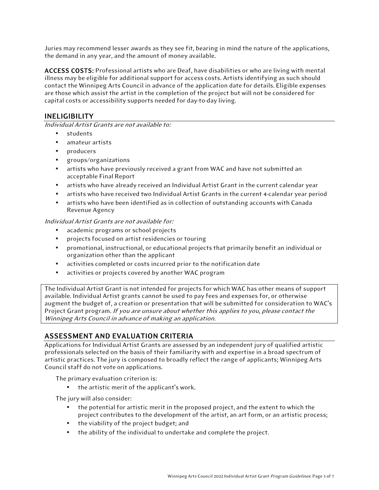Juries may recommend lesser awards as they see fit, bearing in mind the nature of the applications, the demand in any year, and the amount of money available.

ACCESS COSTS: Professional artists who are Deaf, have disabilities or who are living with mental illness may be eligible for additional support for access costs. Artists identifying as such should contact the Winnipeg Arts Council in advance of the application date for details. Eligible expenses are those which assist the artist in the completion of the project but will not be considered for capital costs or accessibility supports needed for day-to-day living.

## **INELIGIBILITY**

Individual Artist Grants are not available to:

- students
- amateur artists
- producers
- groups/organizations
- artists who have previously received a grant from WAC and have not submitted an acceptable Final Report
- artists who have already received an Individual Artist Grant in the current calendar year
- artists who have received two Individual Artist Grants in the current 4-calendar year period
- artists who have been identified as in collection of outstanding accounts with Canada Revenue Agency

### Individual Artist Grants are not available for:

- academic programs or school projects
- projects focused on artist residencies or touring
- promotional, instructional, or educational projects that primarily benefit an individual or organization other than the applicant
- activities completed or costs incurred prior to the notification date
- activities or projects covered by another WAC program

The Individual Artist Grant is not intended for projects for which WAC has other means of support available. Individual Artist grants cannot be used to pay fees and expenses for, or otherwise augment the budget of, a creation or presentation that will be submitted for consideration to WAC's Project Grant program. If you are unsure about whether this applies to you, please contact the Winnipeg Arts Council in advance of making an application.

## ASSESSMENT AND EVALUATION CRITERIA

Applications for Individual Artist Grants are assessed by an independent jury of qualified artistic professionals selected on the basis of their familiarity with and expertise in a broad spectrum of artistic practices. The jury is composed to broadly reflect the range of applicants; Winnipeg Arts Council staff do not vote on applications.

The primary evaluation criterion is:

▪ the artistic merit of the applicant's work.

The jury will also consider:

- the potential for artistic merit in the proposed project, and the extent to which the project contributes to the development of the artist, an art form, or an artistic process;
- the viability of the project budget; and
- the ability of the individual to undertake and complete the project.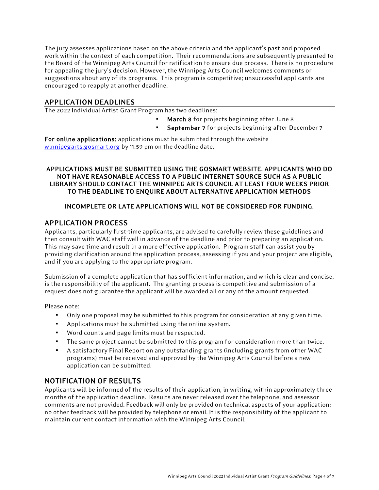The jury assesses applications based on the above criteria and the applicant's past and proposed work within the context of each competition. Their recommendations are subsequently presented to the Board of the Winnipeg Arts Council for ratification to ensure due process. There is no procedure for appealing the jury's decision. However, the Winnipeg Arts Council welcomes comments or suggestions about any of its programs. This program is competitive; unsuccessful applicants are encouraged to reapply at another deadline.

APPLICATION DEADLINES<br>The 2022 Individual Artist Grant Program has two deadlines:

- March 8 for projects beginning after June 8
- September 7 for projects beginning after December 7

For online applications: applications must be submitted through the website [winnipegarts.gosmart.org](http://winnipegarts.gosmart.org/) by 11:59 pm on the deadline date.

### APPLICATIONS MUST BE SUBMITTED USING THE GOSMART WEBSITE. APPLICANTS WHO DO NOT HAVE REASONABLE ACCESS TO A PUBLIC INTERNET SOURCE SUCH AS A PUBLIC LIBRARY SHOULD CONTACT THE WINNIPEG ARTS COUNCIL AT LEAST FOUR WEEKS PRIOR TO THE DEADLINE TO ENQUIRE ABOUT ALTERNATIVE APPLICATION METHODS

## INCOMPLETE OR LATE APPLICATIONS WILL NOT BE CONSIDERED FOR FUNDING.

## APPLICATION PROCESS

Applicants, particularly first-time applicants, are advised to carefully review these guidelines and then consult with WAC staff well in advance of the deadline and prior to preparing an application. This may save time and result in a more effective application. Program staff can assist you by providing clarification around the application process, assessing if you and your project are eligible, and if you are applying to the appropriate program.

Submission of a complete application that has sufficient information, and which is clear and concise, is the responsibility of the applicant. The granting process is competitive and submission of a request does not guarantee the applicant will be awarded all or any of the amount requested.

Please note:

- Only one proposal may be submitted to this program for consideration at any given time.
- Applications must be submitted using the online system.
- Word counts and page limits must be respected.
- The same project cannot be submitted to this program for consideration more than twice.
- A satisfactory Final Report on any outstanding grants (including grants from other WAC programs) must be received and approved by the Winnipeg Arts Council before a new application can be submitted.

## NOTIFICATION OF RESULTS

Applicants will be informed of the results of their application, in writing, within approximately three months of the application deadline. Results are never released over the telephone, and assessor comments are not provided. Feedback will only be provided on technical aspects of your application; no other feedback will be provided by telephone or email. It is the responsibility of the applicant to maintain current contact information with the Winnipeg Arts Council.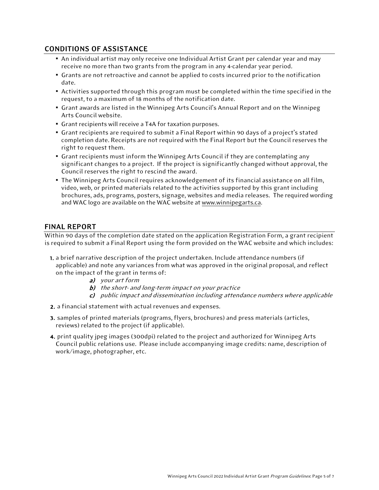## CONDITIONS OF ASSISTANCE

- **An individual artist may only receive one Individual Artist Grant per calendar year and may** receive no more than two grants from the program in any 4-calendar year period.
- **Grants are not retroactive and cannot be applied to costs incurred prior to the notification** date.
- Activities supported through this program must be completed within the time specified in the request, to a maximum of 18 months of the notification date.
- Grant awards are listed in the Winnipeg Arts Council's Annual Report and on the Winnipeg Arts Council website.
- **Grant recipients will receive a T4A for taxation purposes.**
- Grant recipients are required to submit a Final Report within 90 days of a project's stated completion date. Receipts are not required with the Final Report but the Council reserves the right to request them.
- **Grant recipients must inform the Winnipeg Arts Council if they are contemplating any** significant changes to a project. If the project is significantly changed without approval, the Council reserves the right to rescind the award.
- **The Winnipeg Arts Council requires acknowledgement of its financial assistance on all film,** video, web, or printed materials related to the activities supported by this grant including brochures, ads, programs, posters, signage, websites and media releases. The required wording and WAC logo are available on the WAC website a[t www.winnipegarts.ca.](http://www.winnipegarts.ca/)

## FINAL REPORT

Within 90 days of the completion date stated on the application Registration Form, a grant recipient is required to submit a Final Report using the form provided on the WAC website and which includes:

- 1. a brief narrative description of the project undertaken. Include attendance numbers (if applicable) and note any variances from what was approved in the original proposal, and reflect on the impact of the grant in terms of:
	- a) your art form
	- b) the short- and long-term impact on your practice
	- c) public impact and dissemination including attendance numbers where applicable
- 2. a financial statement with actual revenues and expenses.
- 3. samples of printed materials (programs, flyers, brochures) and press materials (articles, reviews) related to the project (if applicable).
- 4. print quality jpeg images (300dpi) related to the project and authorized for Winnipeg Arts Council public relations use. Please include accompanying image credits: name, description of work/image, photographer, etc.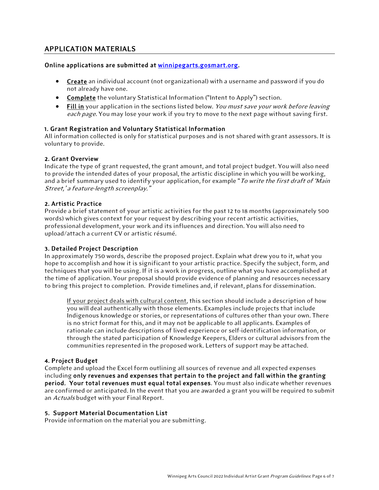## APPLICATION MATERIALS

#### Online applications are submitted at [winnipegarts.gosmart.org.](http://winnipegarts.gosmart.org/)

- Create an individual account (not organizational) with a username and password if you do not already have one.
- Complete the voluntary Statistical Information ("Intent to Apply") section.
- Fill in your application in the sections listed below. You must save your work before leaving each page. You may lose your work if you try to move to the next page without saving first.

### 1. Grant Registration and Voluntary Statistical Information

All information collected is only for statistical purposes and is not shared with grant assessors. It is voluntary to provide.

#### 2. Grant Overview

Indicate the type of grant requested, the grant amount, and total project budget. You will also need to provide the intended dates of your proposal, the artistic discipline in which you will be working, and a brief summary used to identify your application, for example "To write the first draft of 'Main' Street,' a feature-length screenplay."

#### 2. Artistic Practice

Provide a brief statement of your artistic activities for the past 12 to 18 months (approximately 500 words) which gives context for your request by describing your recent artistic activities, professional development, your work and its influences and direction. You will also need to upload/attach a current CV or artistic résumé.

#### 3. Detailed Project Description

In approximately 750 words, describe the proposed project. Explain what drew you to it, what you hope to accomplish and how it is significant to your artistic practice. Specify the subject, form, and techniques that you will be using. If it is a work in progress, outline what you have accomplished at the time of application. Your proposal should provide evidence of planning and resources necessary to bring this project to completion. Provide timelines and, if relevant, plans for dissemination.

If your project deals with cultural content, this section should include a description of how you will deal authentically with those elements. Examples include projects that include Indigenous knowledge or stories, or representations of cultures other than your own. There is no strict format for this, and it may not be applicable to all applicants. Examples of rationale can include descriptions of lived experience or self-identification information, or through the stated participation of Knowledge Keepers, Elders or cultural advisors from the communities represented in the proposed work. Letters of support may be attached.

#### 4. Project Budget

Complete and upload the Excel form outlining all sources of revenue and all expected expenses including only revenues and expenses that pertain to the project and fall within the granting period. Your total revenues must equal total expenses. You must also indicate whether revenues are confirmed or anticipated. In the event that you are awarded a grant you will be required to submit an Actuals budget with your Final Report.

#### 5. Support Material Documentation List

Provide information on the material you are submitting.